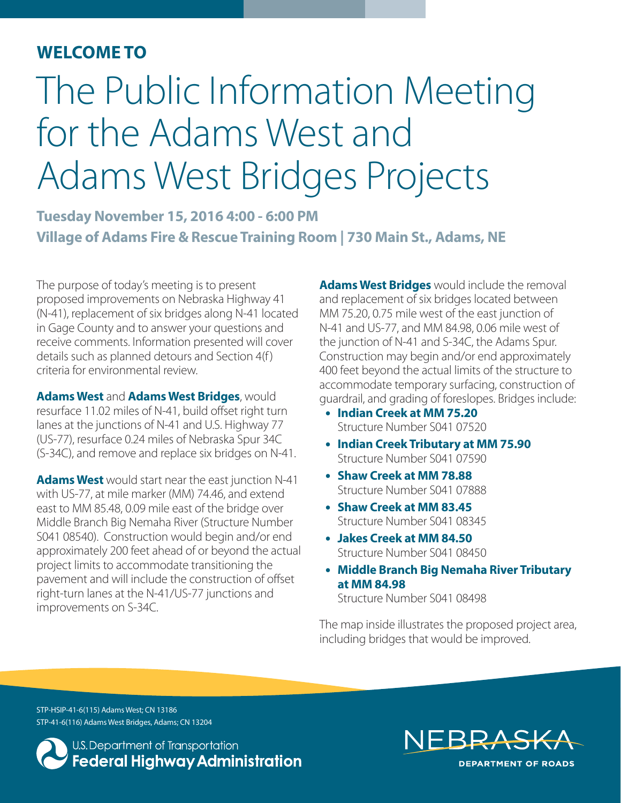### **WELCOME TO**

# The Public Information Meeting for the Adams West and Adams West Bridges Projects

**Tuesday November 15, 2016 4:00 - 6:00 PM Village of Adams Fire & Rescue Training Room | 730 Main St., Adams, NE**

The purpose of today's meeting is to present proposed improvements on Nebraska Highway 41 (N-41), replacement of six bridges along N-41 located in Gage County and to answer your questions and receive comments. Information presented will cover details such as planned detours and Section 4(f) criteria for environmental review.

**Adams West** and **Adams West Bridges**, would resurface 11.02 miles of N-41, build offset right turn lanes at the junctions of N-41 and U.S. Highway 77 (US-77), resurface 0.24 miles of Nebraska Spur 34C (S-34C), and remove and replace six bridges on N-41.

**Adams West** would start near the east junction N-41 with US-77, at mile marker (MM) 74.46, and extend east to MM 85.48, 0.09 mile east of the bridge over Middle Branch Big Nemaha River (Structure Number S041 08540). Construction would begin and/or end approximately 200 feet ahead of or beyond the actual project limits to accommodate transitioning the pavement and will include the construction of offset right-turn lanes at the N-41/US-77 junctions and improvements on S-34C.

**Adams West Bridges** would include the removal and replacement of six bridges located between MM 75.20, 0.75 mile west of the east junction of N-41 and US-77, and MM 84.98, 0.06 mile west of the junction of N-41 and S-34C, the Adams Spur. Construction may begin and/or end approximately 400 feet beyond the actual limits of the structure to accommodate temporary surfacing, construction of guardrail, and grading of foreslopes. Bridges include:

- **Indian Creek at MM 75.20** Structure Number S041 07520
- **Indian Creek Tributary at MM 75.90** Structure Number S041 07590
- **Shaw Creek at MM 78.88** Structure Number S041 07888
- **Shaw Creek at MM 83.45** Structure Number S041 08345
- **Jakes Creek at MM 84.50** Structure Number S041 08450
- **Middle Branch Big Nemaha River Tributary at MM 84.98**

Structure Number S041 08498

The map inside illustrates the proposed project area, including bridges that would be improved.

STP-HSIP-41-6(115) Adams West; CN 13186 STP-41-6(116) Adams West Bridges, Adams; CN 13204

U.S. Department of Transportation **Federal Highway Administration** 

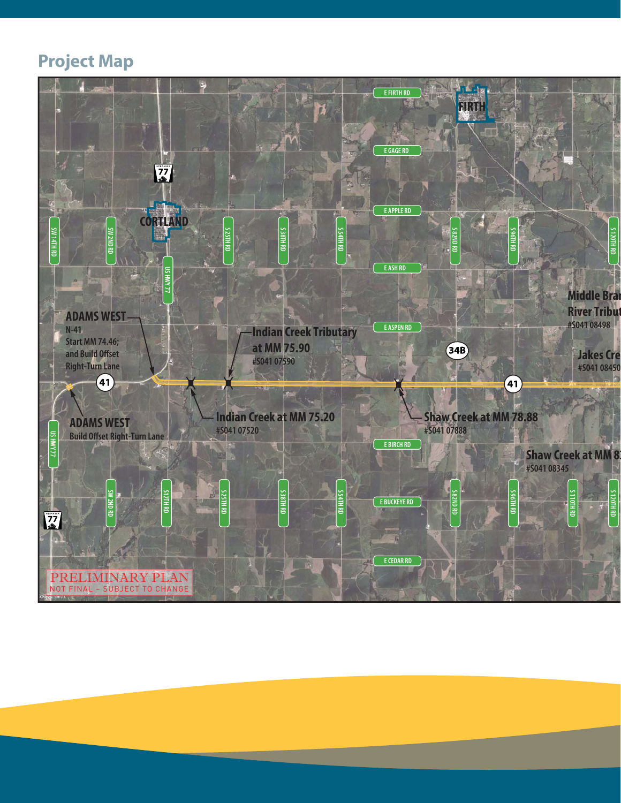## **Project Map**

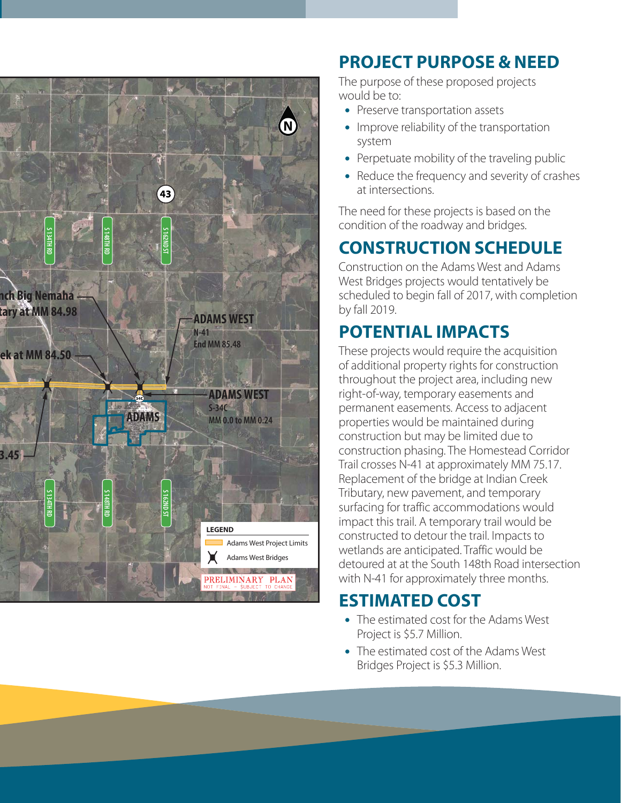

# **PROJECT PURPOSE & NEED**

The purpose of these proposed projects would be to:

- Preserve transportation assets
- Improve reliability of the transportation system
- Perpetuate mobility of the traveling public
- Reduce the frequency and severity of crashes at intersections.

The need for these projects is based on the condition of the roadway and bridges.

# **CONSTRUCTION SCHEDULE**

Construction on the Adams West and Adams West Bridges projects would tentatively be scheduled to begin fall of 2017, with completion by fall 2019.

# **POTENTIAL IMPACTS**

These projects would require the acquisition of additional property rights for construction throughout the project area, including new right-of-way, temporary easements and permanent easements. Access to adjacent properties would be maintained during construction but may be limited due to construction phasing. The Homestead Corridor Trail crosses N-41 at approximately MM 75.17. Replacement of the bridge at Indian Creek Tributary, new pavement, and temporary surfacing for traffic accommodations would impact this trail. A temporary trail would be constructed to detour the trail. Impacts to wetlands are anticipated. Traffic would be detoured at at the South 148th Road intersection with N-41 for approximately three months.

## **ESTIMATED COST**

- The estimated cost for the Adams West Project is \$5.7 Million.
- The estimated cost of the Adams West Bridges Project is \$5.3 Million.